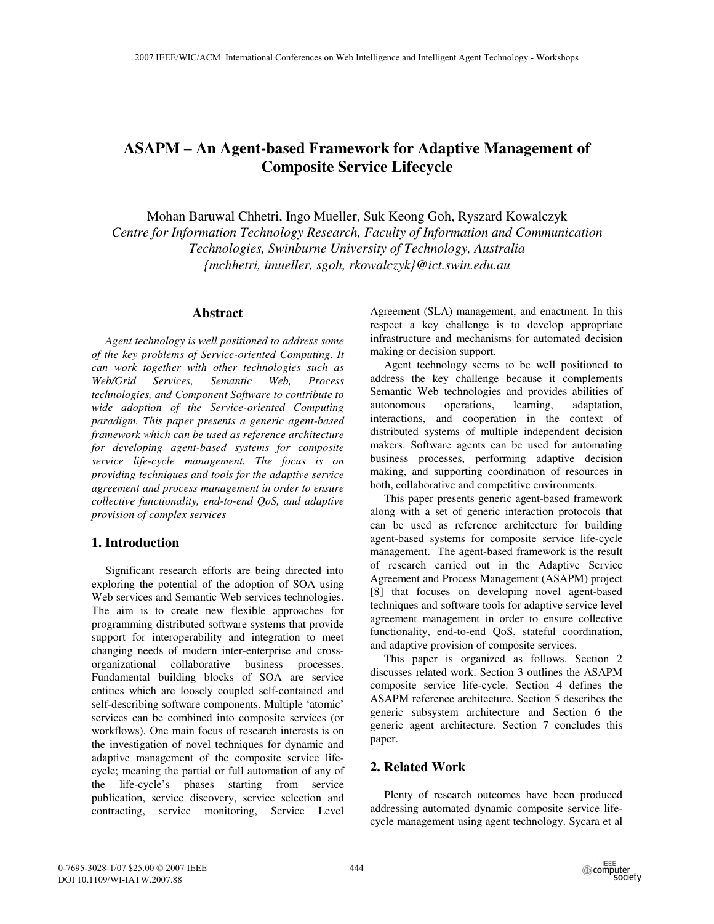# **ASAPM – An Agent-based Framework for Adaptive Management of Composite Service Lifecycle**

Mohan Baruwal Chhetri, Ingo Mueller, Suk Keong Goh, Ryszard Kowalczyk *Centre for Information Technology Research, Faculty of Information and Communication Technologies, Swinburne University of Technology, Australia {mchhetri, imueller, sgoh, rkowalczyk}@ict.swin.edu.au* 

#### **Abstract**

*Agent technology is well positioned to address some of the key problems of Service-oriented Computing. It can work together with other technologies such as Web/Grid Services, Semantic Web, Process technologies, and Component Software to contribute to wide adoption of the Service-oriented Computing paradigm. This paper presents a generic agent-based framework which can be used as reference architecture for developing agent-based systems for composite service life-cycle management. The focus is on providing techniques and tools for the adaptive service agreement and process management in order to ensure collective functionality, end-to-end QoS, and adaptive provision of complex services* 

# **1. Introduction**

Significant research efforts are being directed into exploring the potential of the adoption of SOA using Web services and Semantic Web services technologies. The aim is to create new flexible approaches for programming distributed software systems that provide support for interoperability and integration to meet changing needs of modern inter-enterprise and crossorganizational collaborative business processes. Fundamental building blocks of SOA are service entities which are loosely coupled self-contained and self-describing software components. Multiple 'atomic' services can be combined into composite services (or workflows). One main focus of research interests is on the investigation of novel techniques for dynamic and adaptive management of the composite service lifecycle; meaning the partial or full automation of any of the life-cycle's phases starting from service publication, service discovery, service selection and contracting, service monitoring, Service Level

Agreement (SLA) management, and enactment. In this respect a key challenge is to develop appropriate infrastructure and mechanisms for automated decision making or decision support.

Agent technology seems to be well positioned to address the key challenge because it complements Semantic Web technologies and provides abilities of autonomous operations, learning, adaptation, interactions, and cooperation in the context of distributed systems of multiple independent decision makers. Software agents can be used for automating business processes, performing adaptive decision making, and supporting coordination of resources in both, collaborative and competitive environments.

This paper presents generic agent-based framework along with a set of generic interaction protocols that can be used as reference architecture for building agent-based systems for composite service life-cycle management. The agent-based framework is the result of research carried out in the Adaptive Service Agreement and Process Management (ASAPM) project [8] that focuses on developing novel agent-based techniques and software tools for adaptive service level agreement management in order to ensure collective functionality, end-to-end QoS, stateful coordination, and adaptive provision of composite services.

This paper is organized as follows. Section 2 discusses related work. Section 3 outlines the ASAPM composite service life-cycle. Section 4 defines the ASAPM reference architecture. Section 5 describes the generic subsystem architecture and Section 6 the generic agent architecture. Section 7 concludes this paper.

# **2. Related Work**

Plenty of research outcomes have been produced addressing automated dynamic composite service lifecycle management using agent technology. Sycara et al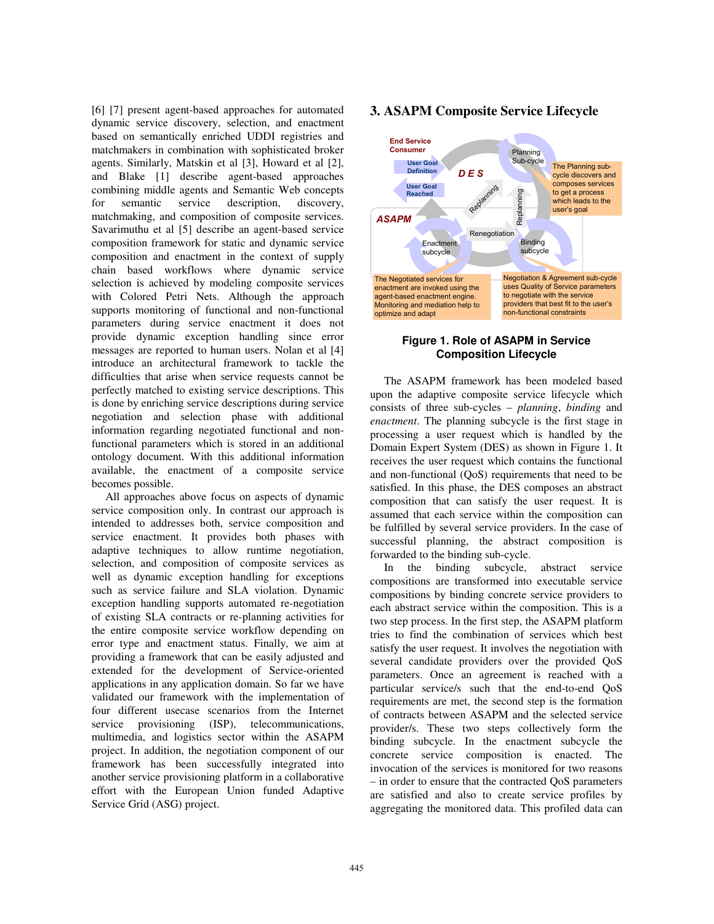[6] [7] present agent-based approaches for automated dynamic service discovery, selection, and enactment based on semantically enriched UDDI registries and matchmakers in combination with sophisticated broker agents. Similarly, Matskin et al [3], Howard et al [2], and Blake [1] describe agent-based approaches combining middle agents and Semantic Web concepts for semantic service description, discovery, matchmaking, and composition of composite services. Savarimuthu et al [5] describe an agent-based service composition framework for static and dynamic service composition and enactment in the context of supply chain based workflows where dynamic service selection is achieved by modeling composite services with Colored Petri Nets. Although the approach supports monitoring of functional and non-functional parameters during service enactment it does not provide dynamic exception handling since error messages are reported to human users. Nolan et al [4] introduce an architectural framework to tackle the difficulties that arise when service requests cannot be perfectly matched to existing service descriptions. This is done by enriching service descriptions during service negotiation and selection phase with additional information regarding negotiated functional and nonfunctional parameters which is stored in an additional ontology document. With this additional information available, the enactment of a composite service becomes possible.

All approaches above focus on aspects of dynamic service composition only. In contrast our approach is intended to addresses both, service composition and service enactment. It provides both phases with adaptive techniques to allow runtime negotiation, selection, and composition of composite services as well as dynamic exception handling for exceptions such as service failure and SLA violation. Dynamic exception handling supports automated re-negotiation of existing SLA contracts or re-planning activities for the entire composite service workflow depending on error type and enactment status. Finally, we aim at providing a framework that can be easily adjusted and extended for the development of Service-oriented applications in any application domain. So far we have validated our framework with the implementation of four different usecase scenarios from the Internet service provisioning (ISP), telecommunications, multimedia, and logistics sector within the ASAPM project. In addition, the negotiation component of our framework has been successfully integrated into another service provisioning platform in a collaborative effort with the European Union funded Adaptive Service Grid (ASG) project.

#### **3. ASAPM Composite Service Lifecycle**



#### **Figure 1. Role of ASAPM in Service Composition Lifecycle**

The ASAPM framework has been modeled based upon the adaptive composite service lifecycle which consists of three sub-cycles – *planning*, *binding* and *enactment*. The planning subcycle is the first stage in processing a user request which is handled by the Domain Expert System (DES) as shown in Figure 1. It receives the user request which contains the functional and non-functional (QoS) requirements that need to be satisfied. In this phase, the DES composes an abstract composition that can satisfy the user request. It is assumed that each service within the composition can be fulfilled by several service providers. In the case of successful planning, the abstract composition is forwarded to the binding sub-cycle.

In the binding subcycle, abstract service compositions are transformed into executable service compositions by binding concrete service providers to each abstract service within the composition. This is a two step process. In the first step, the ASAPM platform tries to find the combination of services which best satisfy the user request. It involves the negotiation with several candidate providers over the provided QoS parameters. Once an agreement is reached with a particular service/s such that the end-to-end QoS requirements are met, the second step is the formation of contracts between ASAPM and the selected service provider/s. These two steps collectively form the binding subcycle. In the enactment subcycle the concrete service composition is enacted. The invocation of the services is monitored for two reasons – in order to ensure that the contracted QoS parameters are satisfied and also to create service profiles by aggregating the monitored data. This profiled data can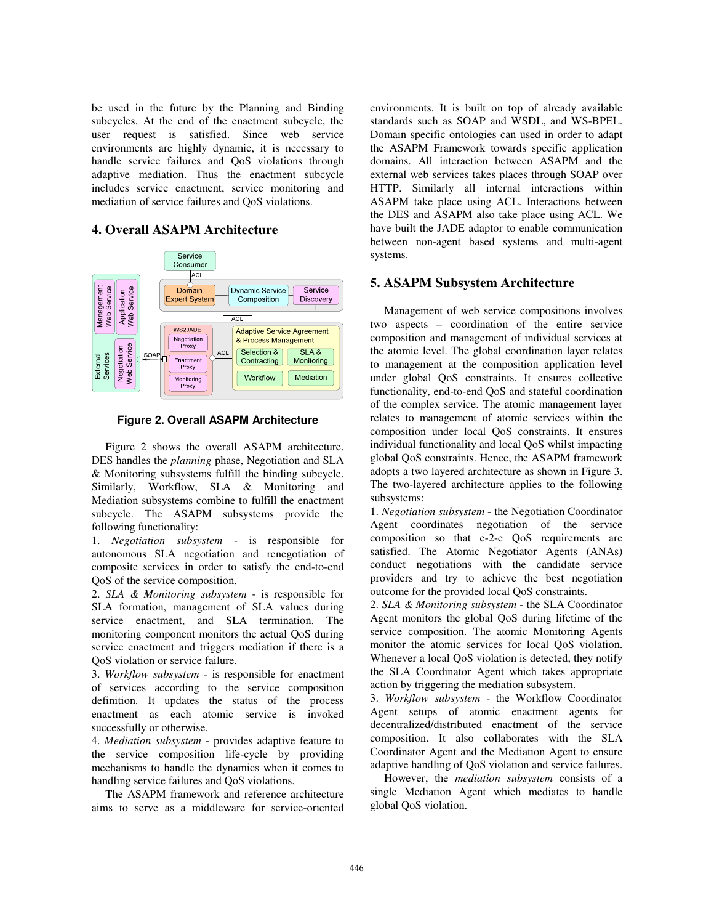be used in the future by the Planning and Binding subcycles. At the end of the enactment subcycle, the user request is satisfied. Since web service environments are highly dynamic, it is necessary to handle service failures and QoS violations through adaptive mediation. Thus the enactment subcycle includes service enactment, service monitoring and mediation of service failures and QoS violations.

# **4. Overall ASAPM Architecture**



**Figure 2. Overall ASAPM Architecture** 

Figure 2 shows the overall ASAPM architecture. DES handles the *planning* phase, Negotiation and SLA & Monitoring subsystems fulfill the binding subcycle. Similarly, Workflow, SLA & Monitoring and Mediation subsystems combine to fulfill the enactment subcycle. The ASAPM subsystems provide the following functionality:

1. *Negotiation subsystem* - is responsible for autonomous SLA negotiation and renegotiation of composite services in order to satisfy the end-to-end QoS of the service composition.

2. *SLA & Monitoring subsystem* - is responsible for SLA formation, management of SLA values during service enactment, and SLA termination. The monitoring component monitors the actual QoS during service enactment and triggers mediation if there is a QoS violation or service failure.

3. *Workflow subsystem* - is responsible for enactment of services according to the service composition definition. It updates the status of the process enactment as each atomic service is invoked successfully or otherwise.

4. *Mediation subsystem* - provides adaptive feature to the service composition life-cycle by providing mechanisms to handle the dynamics when it comes to handling service failures and QoS violations.

The ASAPM framework and reference architecture aims to serve as a middleware for service-oriented environments. It is built on top of already available standards such as SOAP and WSDL, and WS-BPEL. Domain specific ontologies can used in order to adapt the ASAPM Framework towards specific application domains. All interaction between ASAPM and the external web services takes places through SOAP over HTTP. Similarly all internal interactions within ASAPM take place using ACL. Interactions between the DES and ASAPM also take place using ACL. We have built the JADE adaptor to enable communication between non-agent based systems and multi-agent systems.

#### **5. ASAPM Subsystem Architecture**

Management of web service compositions involves two aspects – coordination of the entire service composition and management of individual services at the atomic level. The global coordination layer relates to management at the composition application level under global QoS constraints. It ensures collective functionality, end-to-end QoS and stateful coordination of the complex service. The atomic management layer relates to management of atomic services within the composition under local QoS constraints. It ensures individual functionality and local QoS whilst impacting global QoS constraints. Hence, the ASAPM framework adopts a two layered architecture as shown in Figure 3. The two-layered architecture applies to the following subsystems:

1. *Negotiation subsystem* - the Negotiation Coordinator Agent coordinates negotiation of the service composition so that e-2-e QoS requirements are satisfied. The Atomic Negotiator Agents (ANAs) conduct negotiations with the candidate service providers and try to achieve the best negotiation outcome for the provided local QoS constraints.

2. *SLA & Monitoring subsystem* - the SLA Coordinator Agent monitors the global QoS during lifetime of the service composition. The atomic Monitoring Agents monitor the atomic services for local QoS violation. Whenever a local QoS violation is detected, they notify the SLA Coordinator Agent which takes appropriate action by triggering the mediation subsystem.

3. *Workflow subsystem* - the Workflow Coordinator Agent setups of atomic enactment agents for decentralized/distributed enactment of the service composition. It also collaborates with the SLA Coordinator Agent and the Mediation Agent to ensure adaptive handling of QoS violation and service failures.

However, the *mediation subsystem* consists of a single Mediation Agent which mediates to handle global QoS violation.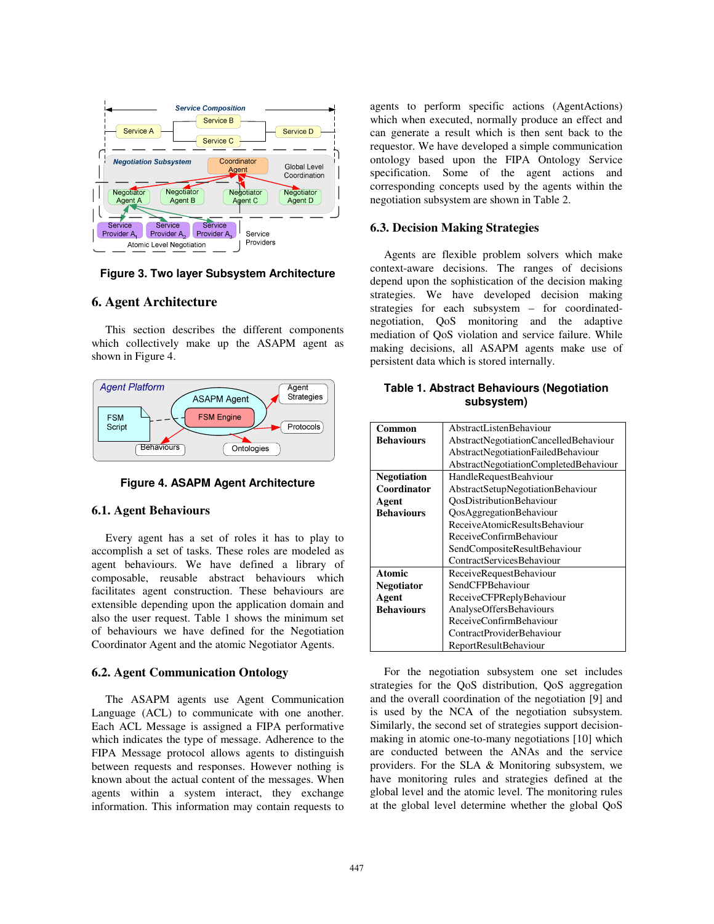

**Figure 3. Two layer Subsystem Architecture** 

#### **6. Agent Architecture**

This section describes the different components which collectively make up the ASAPM agent as shown in Figure 4.



**Figure 4. ASAPM Agent Architecture** 

#### **6.1. Agent Behaviours**

Every agent has a set of roles it has to play to accomplish a set of tasks. These roles are modeled as agent behaviours. We have defined a library of composable, reusable abstract behaviours which facilitates agent construction. These behaviours are extensible depending upon the application domain and also the user request. Table 1 shows the minimum set of behaviours we have defined for the Negotiation Coordinator Agent and the atomic Negotiator Agents.

#### **6.2. Agent Communication Ontology**

The ASAPM agents use Agent Communication Language (ACL) to communicate with one another. Each ACL Message is assigned a FIPA performative which indicates the type of message. Adherence to the FIPA Message protocol allows agents to distinguish between requests and responses. However nothing is known about the actual content of the messages. When agents within a system interact, they exchange information. This information may contain requests to

agents to perform specific actions (AgentActions) which when executed, normally produce an effect and can generate a result which is then sent back to the requestor. We have developed a simple communication ontology based upon the FIPA Ontology Service specification. Some of the agent actions and corresponding concepts used by the agents within the negotiation subsystem are shown in Table 2.

#### **6.3. Decision Making Strategies**

Agents are flexible problem solvers which make context-aware decisions. The ranges of decisions depend upon the sophistication of the decision making strategies. We have developed decision making strategies for each subsystem – for coordinatednegotiation, QoS monitoring and the adaptive mediation of QoS violation and service failure. While making decisions, all ASAPM agents make use of persistent data which is stored internally.

**Table 1. Abstract Behaviours (Negotiation subsystem)** 

| Common             | AbstractListenBehaviour               |
|--------------------|---------------------------------------|
| <b>Behaviours</b>  | AbstractNegotiationCancelledBehaviour |
|                    | AbstractNegotiationFailedBehaviour    |
|                    | AbstractNegotiationCompletedBehaviour |
| <b>Negotiation</b> | HandleRequestBeahviour                |
| Coordinator        | AbstractSetupNegotiationBehaviour     |
| Agent              | OosDistributionBehaviour              |
| <b>Behaviours</b>  | QosAggregationBehaviour               |
|                    | ReceiveAtomicResultsBehaviour         |
|                    | ReceiveConfirmBehaviour               |
|                    | SendCompositeResultBehaviour          |
|                    | ContractServicesBehaviour             |
| <b>Atomic</b>      | ReceiveRequestBehaviour               |
| <b>Negotiator</b>  | SendCFPBehaviour                      |
| Agent              | ReceiveCFPReplyBehaviour              |
| <b>Behaviours</b>  | <b>AnalyseOffersBehaviours</b>        |
|                    | ReceiveConfirmBehaviour               |
|                    | ContractProviderBehaviour             |
|                    | ReportResultBehaviour                 |

For the negotiation subsystem one set includes strategies for the QoS distribution, QoS aggregation and the overall coordination of the negotiation [9] and is used by the NCA of the negotiation subsystem. Similarly, the second set of strategies support decisionmaking in atomic one-to-many negotiations [10] which are conducted between the ANAs and the service providers. For the SLA & Monitoring subsystem, we have monitoring rules and strategies defined at the global level and the atomic level. The monitoring rules at the global level determine whether the global QoS